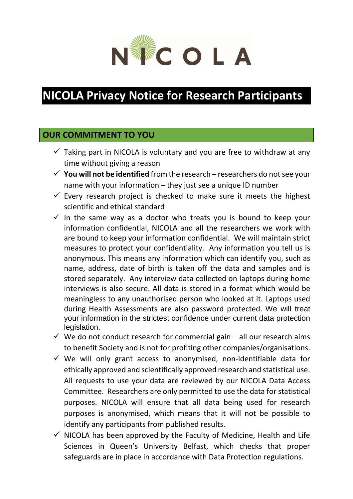

# **NICOLA Privacy Notice for Research Participants**

## **OUR COMMITMENT TO YOU**

- $\checkmark$  Taking part in NICOLA is voluntary and you are free to withdraw at any time without giving a reason
- $\checkmark$  You will not be identified from the research researchers do not see your name with your information – they just see a unique ID number
- $\checkmark$  Every research project is checked to make sure it meets the highest scientific and ethical standard
- $\checkmark$  In the same way as a doctor who treats you is bound to keep your information confidential, NICOLA and all the researchers we work with are bound to keep your information confidential. We will maintain strict measures to protect your confidentiality. Any information you tell us is anonymous. This means any information which can identify you, such as name, address, date of birth is taken off the data and samples and is stored separately. Any interview data collected on laptops during home interviews is also secure. All data is stored in a format which would be meaningless to any unauthorised person who looked at it. Laptops used during Health Assessments are also password protected. We will treat your information in the strictest confidence under current data protection legislation.
- $\checkmark$  We do not conduct research for commercial gain all our research aims to benefit Society and is not for profiting other companies/organisations.
- $\checkmark$  We will only grant access to anonymised, non-identifiable data for ethically approved and scientifically approved research and statistical use. All requests to use your data are reviewed by our NICOLA Data Access Committee. Researchers are only permitted to use the data for statistical purposes. NICOLA will ensure that all data being used for research purposes is anonymised, which means that it will not be possible to identify any participants from published results.
- $\checkmark$  NICOLA has been approved by the Faculty of Medicine, Health and Life Sciences in Queen's University Belfast, which checks that proper safeguards are in place in accordance with Data Protection regulations.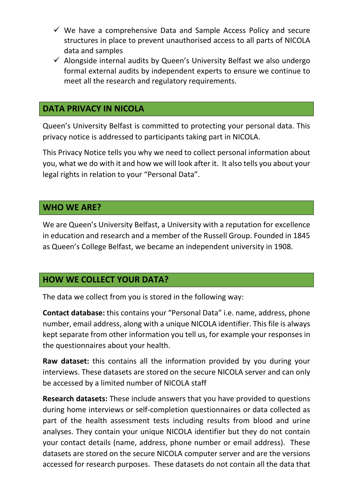- $\checkmark$  We have a comprehensive Data and Sample Access Policy and secure structures in place to prevent unauthorised access to all parts of NICOLA data and samples
- $\checkmark$  Alongside internal audits by Queen's University Belfast we also undergo formal external audits by independent experts to ensure we continue to meet all the research and regulatory requirements.

## **DATA PRIVACY IN NICOLA**

Queen's University Belfast is committed to protecting your personal data. This privacy notice is addressed to participants taking part in NICOLA.

This Privacy Notice tells you why we need to collect personal information about you, what we do with it and how we will look after it. It also tells you about your legal rights in relation to your "Personal Data".

## **WHO WE ARE?**

We are Queen's University Belfast, a University with a reputation for excellence in education and research and a member of the Russell Group. Founded in 1845 as Queen's College Belfast, we became an independent university in 1908.

## **HOW WE COLLECT YOUR DATA?**

The data we collect from you is stored in the following way:

**Contact database:** this contains your "Personal Data" i.e. name, address, phone number, email address, along with a unique NICOLA identifier. This file is always kept separate from other information you tell us, for example your responses in the questionnaires about your health.

**Raw dataset:** this contains all the information provided by you during your interviews. These datasets are stored on the secure NICOLA server and can only be accessed by a limited number of NICOLA staff

**Research datasets:** These include answers that you have provided to questions during home interviews or self-completion questionnaires or data collected as part of the health assessment tests including results from blood and urine analyses. They contain your unique NICOLA identifier but they do not contain your contact details (name, address, phone number or email address). These datasets are stored on the secure NICOLA computer server and are the versions accessed for research purposes. These datasets do not contain all the data that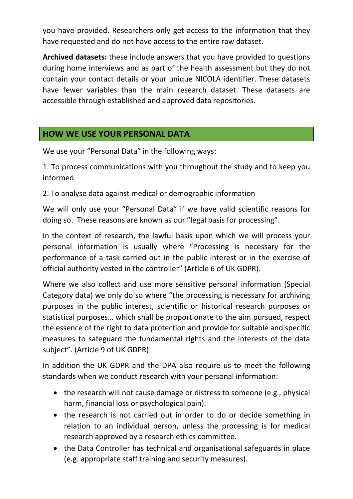you have provided. Researchers only get access to the information that they have requested and do not have access to the entire raw dataset.

**Archived datasets:** these include answers that you have provided to questions during home interviews and as part of the health assessment but they do not contain your contact details or your unique NICOLA identifier. These datasets have fewer variables than the main research dataset. These datasets are accessible through established and approved data repositories.

## **HOW WE USE YOUR PERSONAL DATA**

We use your "Personal Data" in the following ways:

1. To process communications with you throughout the study and to keep you informed

2. To analyse data against medical or demographic information

We will only use your "Personal Data" if we have valid scientific reasons for doing so. These reasons are known as our "legal basis for processing".

In the context of research, the lawful basis upon which we will process your personal information is usually where "Processing is necessary for the performance of a task carried out in the public interest or in the exercise of official authority vested in the controller" (Article 6 of UK GDPR).

Where we also collect and use more sensitive personal information (Special Category data) we only do so where "the processing is necessary for archiving purposes in the public interest, scientific or historical research purposes or statistical purposes… which shall be proportionate to the aim pursued, respect the essence of the right to data protection and provide for suitable and specific measures to safeguard the fundamental rights and the interests of the data subject". (Article 9 of UK GDPR)

In addition the UK GDPR and the DPA also require us to meet the following standards when we conduct research with your personal information:

- the research will not cause damage or distress to someone (e.g., physical harm, financial loss or psychological pain).
- the research is not carried out in order to do or decide something in relation to an individual person, unless the processing is for medical research approved by a research ethics committee.
- the Data Controller has technical and organisational safeguards in place (e.g. appropriate staff training and security measures).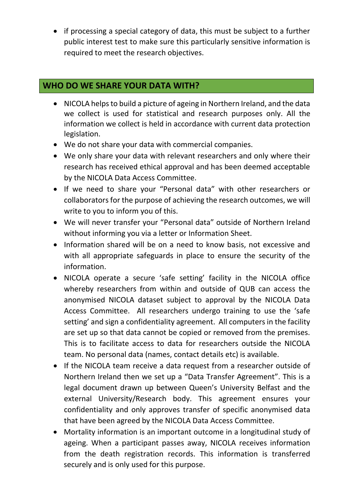• if processing a special category of data, this must be subject to a further public interest test to make sure this particularly sensitive information is required to meet the research objectives.

# **WHO DO WE SHARE YOUR DATA WITH?**

- NICOLA helps to build a picture of ageing in Northern Ireland, and the data we collect is used for statistical and research purposes only. All the information we collect is held in accordance with current data protection legislation.
- We do not share your data with commercial companies.
- We only share your data with relevant researchers and only where their research has received ethical approval and has been deemed acceptable by the NICOLA Data Access Committee.
- If we need to share your "Personal data" with other researchers or collaborators for the purpose of achieving the research outcomes, we will write to you to inform you of this.
- We will never transfer your "Personal data" outside of Northern Ireland without informing you via a letter or Information Sheet.
- Information shared will be on a need to know basis, not excessive and with all appropriate safeguards in place to ensure the security of the information.
- NICOLA operate a secure 'safe setting' facility in the NICOLA office whereby researchers from within and outside of QUB can access the anonymised NICOLA dataset subject to approval by the NICOLA Data Access Committee. All researchers undergo training to use the 'safe setting' and sign a confidentiality agreement. All computers in the facility are set up so that data cannot be copied or removed from the premises. This is to facilitate access to data for researchers outside the NICOLA team. No personal data (names, contact details etc) is available.
- If the NICOLA team receive a data request from a researcher outside of Northern Ireland then we set up a "Data Transfer Agreement". This is a legal document drawn up between Queen's University Belfast and the external University/Research body. This agreement ensures your confidentiality and only approves transfer of specific anonymised data that have been agreed by the NICOLA Data Access Committee.
- Mortality information is an important outcome in a longitudinal study of ageing. When a participant passes away, NICOLA receives information from the death registration records. This information is transferred securely and is only used for this purpose.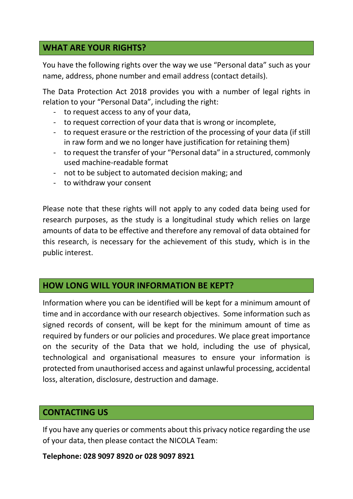## **WHAT ARE YOUR RIGHTS?**

You have the following rights over the way we use "Personal data" such as your name, address, phone number and email address (contact details).

The Data Protection Act 2018 provides you with a number of legal rights in relation to your "Personal Data", including the right:

- to request access to any of your data,
- to request correction of your data that is wrong or incomplete,
- to request erasure or the restriction of the processing of your data (if still in raw form and we no longer have justification for retaining them)
- to request the transfer of your "Personal data" in a structured, commonly used machine-readable format
- not to be subject to automated decision making; and
- to withdraw your consent

Please note that these rights will not apply to any coded data being used for research purposes, as the study is a longitudinal study which relies on large amounts of data to be effective and therefore any removal of data obtained for this research, is necessary for the achievement of this study, which is in the public interest.

## **HOW LONG WILL YOUR INFORMATION BE KEPT?**

Information where you can be identified will be kept for a minimum amount of time and in accordance with our research objectives. Some information such as signed records of consent, will be kept for the minimum amount of time as required by funders or our policies and procedures. We place great importance on the security of the Data that we hold, including the use of physical, technological and organisational measures to ensure your information is protected from unauthorised access and against unlawful processing, accidental loss, alteration, disclosure, destruction and damage.

## **CONTACTING US**

If you have any queries or comments about this privacy notice regarding the use of your data, then please contact the NICOLA Team:

**Telephone: 028 9097 8920 or 028 9097 8921**